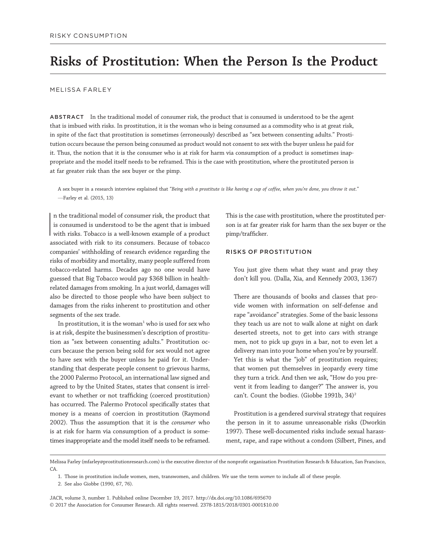# Risks of Prostitution: When the Person Is the Product

#### MELISSA FARLEY

ABSTRACT In the traditional model of consumer risk, the product that is consumed is understood to be the agent that is imbued with risks. In prostitution, it is the woman who is being consumed as a commodity who is at great risk, in spite of the fact that prostitution is sometimes (erroneously) described as "sex between consenting adults." Prostitution occurs because the person being consumed as product would not consent to sex with the buyer unless he paid for it. Thus, the notion that it is the consumer who is at risk for harm via consumption of a product is sometimes inappropriate and the model itself needs to be reframed. This is the case with prostitution, where the prostituted person is at far greater risk than the sex buyer or the pimp.

A sex buyer in a research interview explained that "Being with a prostitute is like having a cup of coffee, when you're done, you throw it out." —Farley et al. (2015, 13)

In the traditional model of consumer risk, the product that<br>is consumed is understood to be the agent that is imbued<br>with risks. Tobacco is a well-known example of a product n the traditional model of consumer risk, the product that is consumed is understood to be the agent that is imbued associated with risk to its consumers. Because of tobacco companies' withholding of research evidence regarding the risks of morbidity and mortality, many people suffered from tobacco-related harms. Decades ago no one would have guessed that Big Tobacco would pay \$368 billion in healthrelated damages from smoking. In a just world, damages will also be directed to those people who have been subject to damages from the risks inherent to prostitution and other segments of the sex trade.

In prostitution, it is the woman<sup>1</sup> who is used for sex who is at risk, despite the businessmen's description of prostitution as "sex between consenting adults." Prostitution occurs because the person being sold for sex would not agree to have sex with the buyer unless he paid for it. Understanding that desperate people consent to grievous harms, the 2000 Palermo Protocol, an international law signed and agreed to by the United States, states that consent is irrelevant to whether or not trafficking (coerced prostitution) has occurred. The Palermo Protocol specifically states that money is a means of coercion in prostitution (Raymond 2002). Thus the assumption that it is the consumer who is at risk for harm via consumption of a product is sometimes inappropriate and the model itself needs to be reframed. This is the case with prostitution, where the prostituted person is at far greater risk for harm than the sex buyer or the pimp/trafficker.

#### RISKS OF PROSTITUTION

You just give them what they want and pray they don't kill you. (Dalla, Xia, and Kennedy 2003, 1367)

There are thousands of books and classes that provide women with information on self-defense and rape "avoidance" strategies. Some of the basic lessons they teach us are not to walk alone at night on dark deserted streets, not to get into cars with strange men, not to pick up guys in a bar, not to even let a delivery man into your home when you're by yourself. Yet this is what the "job" of prostitution requires; that women put themselves in jeopardy every time they turn a trick. And then we ask, "How do you prevent it from leading to danger?" The answer is, you can't. Count the bodies. (Giobbe 1991b, 34)<sup>2</sup>

Prostitution is a gendered survival strategy that requires the person in it to assume unreasonable risks (Dworkin 1997). These well-documented risks include sexual harassment, rape, and rape without a condom (Silbert, Pines, and

JACR, volume 3, number 1. Published online December 19, 2017. http://dx.doi.org/10.1086/695670 © 2017 the Association for Consumer Research. All rights reserved. 2378-1815/2018/0301-0001\$10.00

Melissa Farley (mfarley@prostitutionresearch.com) is the executive director of the nonprofit organization Prostitution Research & Education, San Francisco,  $C_A$ 

<sup>1.</sup> Those in prostitution include women, men, transwomen, and children. We use the term women to include all of these people.

<sup>2.</sup> See also Giobbe (1990, 67, 76).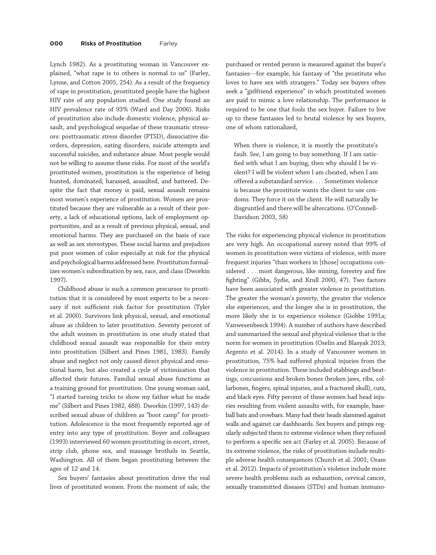Lynch 1982). As a prostituting woman in Vancouver explained, "what rape is to others is normal to us" (Farley, Lynne, and Cotton 2005, 254). As a result of the frequency of rape in prostitution, prostituted people have the highest HIV rate of any population studied. One study found an HIV prevalence rate of 93% (Ward and Day 2006). Risks of prostitution also include domestic violence, physical assault, and psychological sequelae of these traumatic stressors: posttraumatic stress disorder (PTSD), dissociative disorders, depression, eating disorders, suicide attempts and successful suicides, and substance abuse. Most people would not be willing to assume these risks. For most of the world's prostituted women, prostitution is the experience of being hunted, dominated, harassed, assaulted, and battered. Despite the fact that money is paid, sexual assault remains most women's experience of prostitution. Women are prostituted because they are vulnerable as a result of their poverty, a lack of educational options, lack of employment opportunities, and as a result of previous physical, sexual, and emotional harms. They are purchased on the basis of race as well as sex stereotypes. These social harms and prejudices put poor women of color especially at risk for the physical and psychological harms addressed here. Prostitution formalizes women's subordination by sex, race, and class (Dworkin 1997).

Childhood abuse is such a common precursor to prostitution that it is considered by most experts to be a necessary if not sufficient risk factor for prostitution (Tyler et al. 2000). Survivors link physical, sexual, and emotional abuse as children to later prostitution. Seventy percent of the adult women in prostitution in one study stated that childhood sexual assault was responsible for their entry into prostitution (Silbert and Pines 1981, 1983). Family abuse and neglect not only caused direct physical and emotional harm, but also created a cycle of victimization that affected their futures. Familial sexual abuse functions as a training ground for prostitution. One young woman said, "I started turning tricks to show my father what he made me" (Silbert and Pines 1982, 488). Dworkin (1997, 143) described sexual abuse of children as "boot camp" for prostitution. Adolescence is the most frequently reported age of entry into any type of prostitution. Boyer and colleagues (1993) interviewed 60 women prostituting in escort, street, strip club, phone sex, and massage brothels in Seattle, Washington. All of them began prostituting between the ages of 12 and 14.

Sex buyers' fantasies about prostitution drive the real lives of prostituted women. From the moment of sale, the

purchased or rented person is measured against the buyer's fantasies—for example, his fantasy of "the prostitute who loves to have sex with strangers." Today sex buyers often seek a "girlfriend experience" in which prostituted women are paid to mimic a love relationship. The performance is required to be one that fools the sex buyer. Failure to live up to these fantasies led to brutal violence by sex buyers, one of whom rationalized,

When there is violence, it is mostly the prostitute's fault. See, I am going to buy something. If I am satisfied with what I am buying, then why should I be violent? I will be violent when I am cheated, when I am offered a substandard service. ... Sometimes violence is because the prostitute wants the client to use condoms. They force it on the client. He will naturally be disgruntled and there will be altercations. (O'Connell-Davidson 2003, 58)

The risks for experiencing physical violence in prostitution are very high. An occupational survey noted that 99% of women in prostitution were victims of violence, with more frequent injuries "than workers in [those] occupations considered ... most dangerous, like mining, forestry and fire fighting" (Gibbs, Sydie, and Krull 2000, 47). Two factors have been associated with greater violence in prostitution. The greater the woman's poverty, the greater the violence she experiences, and the longer she is in prostitution, the more likely she is to experience violence (Giobbe 1991a; Vanwesenbeeck 1994). A number of authors have described and summarized the sexual and physical violence that is the norm for women in prostitution (Oselin and Blasyak 2013; Argento et al. 2014). In a study of Vancouver women in prostitution, 75% had suffered physical injuries from the violence in prostitution. These included stabbings and beatings, concussions and broken bones (broken jaws, ribs, collarbones, fingers, spinal injuries, and a fractured skull), cuts, and black eyes. Fifty percent of these women had head injuries resulting from violent assaults with, for example, baseball bats and crowbars. Many had their heads slammed against walls and against car dashboards. Sex buyers and pimps regularly subjected them to extreme violence when they refused to perform a specific sex act (Farley et al. 2005). Because of its extreme violence, the risks of prostitution include multiple adverse health consequences (Church et al. 2001; Oram et al. 2012). Impacts of prostitution's violence include more severe health problems such as exhaustion, cervical cancer, sexually transmitted diseases (STDs) and human immuno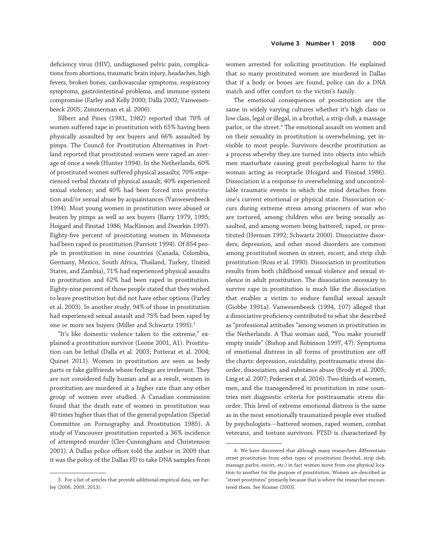deficiency virus (HIV), undiagnosed pelvic pain, complications from abortions, traumatic brain injury, headaches, high fevers, broken bones, cardiovascular symptoms, respiratory symptoms, gastrointestinal problems, and immune system compromise (Farley and Kelly 2000; Dalla 2002; Vanwesenbeeck 2005; Zimmerman et al. 2006).

Silbert and Pines (1981, 1982) reported that 70% of women suffered rape in prostitution with 65% having been physically assaulted by sex buyers and 66% assaulted by pimps. The Council for Prostitution Alternatives in Portland reported that prostituted women were raped an average of once a week (Hunter 1994). In the Netherlands, 60% of prostituted women suffered physical assaults; 70% experienced verbal threats of physical assault; 40% experienced sexual violence; and 40% had been forced into prostitution and/or sexual abuse by acquaintances (Vanwesenbeeck 1994). Most young women in prostitution were abused or beaten by pimps as well as sex buyers (Barry 1979, 1995; Hoigard and Finstad 1986; MacKinnon and Dworkin 1997). Eighty-five percent of prostituting women in Minnesota had been raped in prostitution (Parriott 1994). Of 854 people in prostitution in nine countries (Canada, Colombia, Germany, Mexico, South Africa, Thailand, Turkey, United States, and Zambia), 71% had experienced physical assaults in prostitution and 62% had been raped in prostitution. Eighty-nine percent of those people stated that they wished to leave prostitution but did not have other options (Farley et al. 2003). In another study, 94% of those in prostitution had experienced sexual assault and 75% had been raped by one or more sex buyers (Miller and Schwartz 1995).<sup>3</sup>

"It's like domestic violence taken to the extreme," explained a prostitution survivor (Leone 2001, A1). Prostitution can be lethal (Dalla et al. 2003; Potterat et al. 2004; Quinet 2011). Women in prostitution are seen as body parts or fake girlfriends whose feelings are irrelevant. They are not considered fully human and as a result, women in prostitution are murdered at a higher rate than any other group of women ever studied. A Canadian commission found that the death rate of women in prostitution was 40 times higher than that of the general population (Special Committee on Pornography and Prostitution 1985). A study of Vancouver prostitution reported a 36% incidence of attempted murder (Cler-Cunningham and Christenson 2001). A Dallas police officer told the author in 2009 that it was the policy of the Dallas PD to take DNA samples from

3. For a list of articles that provide additional empirical data, see Farley (2006, 2009, 2013).

women arrested for soliciting prostitution. He explained that so many prostituted women are murdered in Dallas that if a body or bones are found, police can do a DNA match and offer comfort to the victim's family.

The emotional consequences of prostitution are the same in widely varying cultures whether it's high class or low class, legal or illegal, in a brothel, a strip club, a massage parlor, or the street.<sup>4</sup> The emotional assault on women and on their sexuality in prostitution is overwhelming, yet invisible to most people. Survivors describe prostitution as a process whereby they are turned into objects into which men masturbate causing great psychological harm to the woman acting as receptacle (Hoigard and Finstad 1986). Dissociation is a response to overwhelming and uncontrollable traumatic events in which the mind detaches from one's current emotional or physical state. Dissociation occurs during extreme stress among prisoners of war who are tortured, among children who are being sexually assaulted, and among women being battered, raped, or prostituted (Herman 1992; Schwartz 2000). Dissociative disorders, depression, and other mood disorders are common among prostituted women in street, escort, and strip club prostitution (Ross et al. 1990). Dissociation in prostitution results from both childhood sexual violence and sexual violence in adult prostitution. The dissociation necessary to survive rape in prostitution is much like the dissociation that enables a victim to endure familial sexual assault (Giobbe 1991a). Vanwesenbeeck (1994, 107) alleged that a dissociative proficiency contributed to what she described as "professional attitudes "among women in prostitution in the Netherlands. A Thai woman said, "You make yourself empty inside" (Bishop and Robinson 1997, 47). Symptoms of emotional distress in all forms of prostitution are off the charts: depression, suicidality, posttraumatic stress disorder, dissociation, and substance abuse (Brody et al. 2005; Ling et al. 2007; Pedersen et al. 2016). Two-thirds of women, men, and the transgendered in prostitution in nine countries met diagnostic criteria for posttraumatic stress disorder. This level of extreme emotional distress is the same as in the most emotionally traumatized people ever studied by psychologists—battered women, raped women, combat veterans, and torture survivors. PTSD is characterized by

<sup>4.</sup> We have discovered that although many researchers differentiate street prostitution from other types of prostitution (brothel, strip club, massage parlor, escort, etc.) in fact women move from one physical location to another for the purpose of prostitution. Women are described as "street prostitutes" primarily because that is where the researcher encountered them. See Kramer (2003).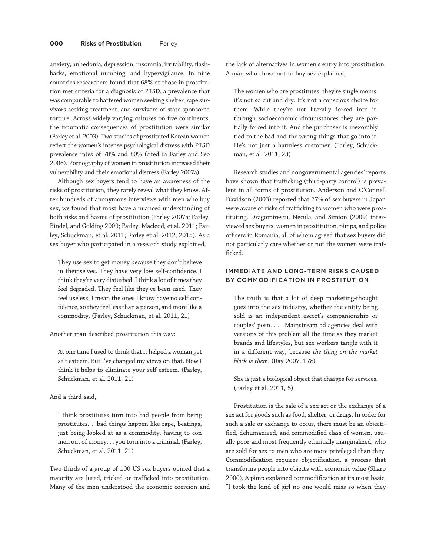anxiety, anhedonia, depression, insomnia, irritability, flashbacks, emotional numbing, and hypervigilance. In nine countries researchers found that 68% of those in prostitution met criteria for a diagnosis of PTSD, a prevalence that was comparable to battered women seeking shelter, rape survivors seeking treatment, and survivors of state-sponsored torture. Across widely varying cultures on five continents, the traumatic consequences of prostitution were similar (Farley et al. 2003). Two studies of prostituted Korean women reflect the women's intense psychological distress with PTSD prevalence rates of 78% and 80% (cited in Farley and Seo 2006). Pornography of women in prostitution increased their vulnerability and their emotional distress (Farley 2007a).

Although sex buyers tend to have an awareness of the risks of prostitution, they rarely reveal what they know. After hundreds of anonymous interviews with men who buy sex, we found that most have a nuanced understanding of both risks and harms of prostitution (Farley 2007a; Farley, Bindel, and Golding 2009; Farley, Macleod, et al. 2011; Farley, Schuckman, et al. 2011; Farley et al. 2012, 2015). As a sex buyer who participated in a research study explained,

They use sex to get money because they don't believe in themselves. They have very low self-confidence. I think they're very disturbed. I think a lot of times they feel degraded. They feel like they've been used. They feel useless. I mean the ones I know have no self confidence, so they feel less than a person, and more like a commodity. (Farley, Schuckman, et al. 2011, 21)

Another man described prostitution this way:

At one time I used to think that it helped a woman get self esteem. But I've changed my views on that. Now I think it helps to eliminate your self esteem. (Farley, Schuckman, et al. 2011, 21)

### And a third said,

I think prostitutes turn into bad people from being prostitutes...bad things happen like rape, beatings, just being looked at as a commodity, having to con men out of money... you turn into a criminal. (Farley, Schuckman, et al. 2011, 21)

Two-thirds of a group of 100 US sex buyers opined that a majority are lured, tricked or trafficked into prostitution. Many of the men understood the economic coercion and

the lack of alternatives in women's entry into prostitution. A man who chose not to buy sex explained,

The women who are prostitutes, they're single moms, it's not so cut and dry. It's not a conscious choice for them. While they're not literally forced into it, through socioeconomic circumstances they are partially forced into it. And the purchaser is inexorably tied to the bad and the wrong things that go into it. He's not just a harmless customer. (Farley, Schuckman, et al. 2011, 23)

Research studies and nongovernmental agencies' reports have shown that trafficking (third-party control) is prevalent in all forms of prostitution. Anderson and O'Connell Davidson (2003) reported that 77% of sex buyers in Japan were aware of risks of trafficking to women who were prostituting. Dragomirescu, Necula, and Simion (2009) interviewed sex buyers, women in prostitution, pimps, and police officers in Romania, all of whom agreed that sex buyers did not particularly care whether or not the women were trafficked.

# IMMEDIATE AND LONG-TERM RISKS CAUSED BY COMMODIFICATION IN PROSTITUTION

The truth is that a lot of deep marketing-thought goes into the sex industry, whether the entity being sold is an independent escort's companionship or couples' porn. ... Mainstream ad agencies deal with versions of this problem all the time as they market brands and lifestyles, but sex workers tangle with it in a different way, because the thing on the market block is them. (Ray 2007, 178)

She is just a biological object that charges for services. (Farley et al. 2011, 5)

Prostitution is the sale of a sex act or the exchange of a sex act for goods such as food, shelter, or drugs. In order for such a sale or exchange to occur, there must be an objectified, dehumanized, and commodified class of women, usually poor and most frequently ethnically marginalized, who are sold for sex to men who are more privileged than they. Commodification requires objectification, a process that transforms people into objects with economic value (Sharp 2000). A pimp explained commodification at its most basic: "I took the kind of girl no one would miss so when they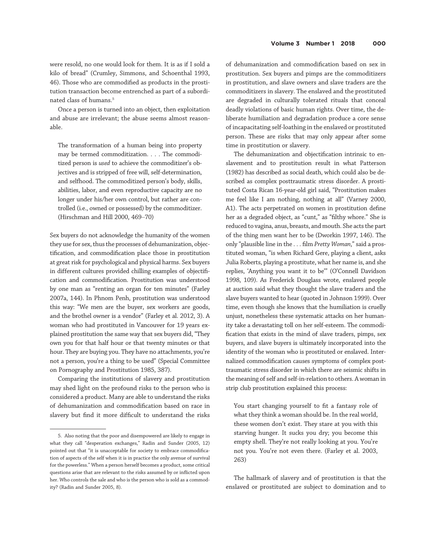were resold, no one would look for them. It is as if I sold a kilo of bread" (Crumley, Simmons, and Schoenthal 1993, 46). Those who are commodified as products in the prostitution transaction become entrenched as part of a subordinated class of humans.5

Once a person is turned into an object, then exploitation and abuse are irrelevant; the abuse seems almost reasonable.

The transformation of a human being into property may be termed commoditization. ... The commoditized person is used to achieve the commoditizer's objectives and is stripped of free will, self-determination, and selfhood. The commoditized person's body, skills, abilities, labor, and even reproductive capacity are no longer under his/her own control, but rather are controlled (i.e., owned or possessed) by the commoditizer. (Hirschman and Hill 2000, 469–70)

Sex buyers do not acknowledge the humanity of the women they use for sex, thus the processes of dehumanization, objectification, and commodification place those in prostitution at great risk for psychological and physical harms. Sex buyers in different cultures provided chilling examples of objectification and commodification. Prostitution was understood by one man as "renting an organ for ten minutes" (Farley 2007a, 144). In Phnom Penh, prostitution was understood this way: "We men are the buyer, sex workers are goods, and the brothel owner is a vendor" (Farley et al. 2012, 3). A woman who had prostituted in Vancouver for 19 years explained prostitution the same way that sex buyers did, "They own you for that half hour or that twenty minutes or that hour. They are buying you. They have no attachments, you're not a person, you're a thing to be used" (Special Committee on Pornography and Prostitution 1985, 387).

Comparing the institutions of slavery and prostitution may shed light on the profound risks to the person who is considered a product. Many are able to understand the risks of dehumanization and commodification based on race in slavery but find it more difficult to understand the risks

of dehumanization and commodification based on sex in prostitution. Sex buyers and pimps are the commoditizers in prostitution, and slave owners and slave traders are the commoditizers in slavery. The enslaved and the prostituted are degraded in culturally tolerated rituals that conceal deadly violations of basic human rights. Over time, the deliberate humiliation and degradation produce a core sense of incapacitating self-loathing in the enslaved or prostituted person. These are risks that may only appear after some time in prostitution or slavery.

The dehumanization and objectification intrinsic to enslavement and to prostitution result in what Patterson (1982) has described as social death, which could also be described as complex posttraumatic stress disorder. A prostituted Costa Rican 16-year-old girl said, "Prostitution makes me feel like I am nothing, nothing at all" (Varney 2000, A1). The acts perpetrated on women in prostitution define her as a degraded object, as "cunt," as "filthy whore." She is reduced to vagina, anus, breasts, and mouth. She acts the part of the thing men want her to be (Dworkin 1997, 146). The only "plausible line in the ... film Pretty Woman,"said a prostituted woman, "is when Richard Gere, playing a client, asks Julia Roberts, playing a prostitute, what her name is, and she replies, 'Anything you want it to be'" (O'Connell Davidson 1998, 109). As Frederick Douglass wrote, enslaved people at auction said what they thought the slave traders and the slave buyers wanted to hear (quoted in Johnson 1999). Over time, even though she knows that the humiliation is cruelly unjust, nonetheless these systematic attacks on her humanity take a devastating toll on her self-esteem. The commodification that exists in the mind of slave traders, pimps, sex buyers, and slave buyers is ultimately incorporated into the identity of the woman who is prostituted or enslaved. Internalized commodification causes symptoms of complex posttraumatic stress disorder in which there are seismic shifts in the meaning of self and self-in-relation to others. A woman in strip club prostitution explained this process:

You start changing yourself to fit a fantasy role of what they think a woman should be. In the real world, these women don't exist. They stare at you with this starving hunger. It sucks you dry; you become this empty shell. They're not really looking at you. You're not you. You're not even there. (Farley et al. 2003, 263)

The hallmark of slavery and of prostitution is that the enslaved or prostituted are subject to domination and to

<sup>5.</sup> Also noting that the poor and disempowered are likely to engage in what they call "desperation exchanges," Radin and Sunder (2005, 12) pointed out that "it is unacceptable for society to embrace commodification of aspects of the self when it is in practice the only avenue of survival for the powerless." When a person herself becomes a product, some critical questions arise that are relevant to the risks assumed by or inflicted upon her. Who controls the sale and who is the person who is sold as a commodity? (Radin and Sunder 2005, 8).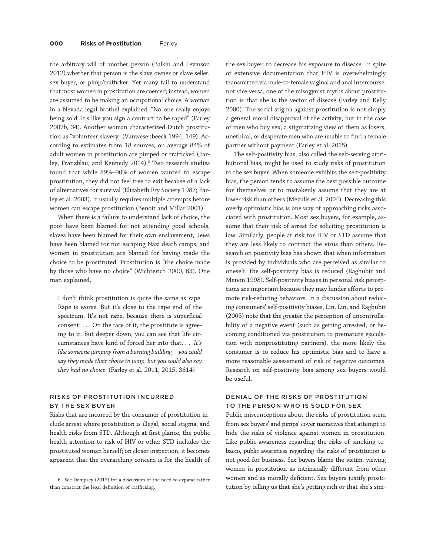the arbitrary will of another person (Balkin and Levinson 2012) whether that person is the slave owner or slave seller, sex buyer, or pimp/trafficker. Yet many fail to understand that most women in prostitution are coerced; instead, women are assumed to be making an occupational choice. A woman in a Nevada legal brothel explained, "No one really enjoys being sold. It's like you sign a contract to be raped" (Farley 2007b, 34). Another woman characterized Dutch prostitution as "volunteer slavery" (Vanwesenbeeck 1994, 149). According to estimates from 18 sources, on average 84% of adult women in prostitution are pimped or trafficked (Farley, Franzblau, and Kennedy 2014).<sup>6</sup> Two research studies found that while 89%–90% of women wanted to escape prostitution, they did not feel free to exit because of a lack of alternatives for survival (Elizabeth Fry Society 1987; Farley et al. 2003). It usually requires multiple attempts before women can escape prostitution (Benoit and Millar 2001).

When there is a failure to understand lack of choice, the poor have been blamed for not attending good schools, slaves have been blamed for their own enslavement, Jews have been blamed for not escaping Nazi death camps, and women in prostitution are blamed for having made the choice to be prostituted. Prostitution is "the choice made by those who have no choice" (Wichterich 2000, 63). One man explained,

I don't think prostitution is quite the same as rape. Rape is worse. But it's close to the rape end of the spectrum. It's not rape, because there is superficial consent. ... On the face of it, the prostitute is agreeing to it. But deeper down, you can see that life circumstances have kind of forced her into that. ...It's like someone jumping from a burning building—you could say they made their choice to jump, but you could also say they had no choice. (Farley et al. 2011, 2015, 3614)

## RISKS OF PROSTITUTION INCURRED BY THE SEX BUYER

Risks that are incurred by the consumer of prostitution include arrest where prostitution is illegal, social stigma, and health risks from STD. Although at first glance, the public health attention to risk of HIV or other STD includes the prostituted woman herself; on closer inspection, it becomes apparent that the overarching concern is for the health of

the sex buyer: to decrease his exposure to disease. In spite of extensive documentation that HIV is overwhelmingly transmitted via male-to-female vaginal and anal intercourse, not vice versa, one of the misogynist myths about prostitution is that she is the vector of disease (Farley and Kelly 2000). The social stigma against prostitution is not simply a general moral disapproval of the activity, but in the case of men who buy sex, a stigmatizing view of them as losers, unethical, or desperate men who are unable to find a female partner without payment (Farley et al. 2015).

The self-positivity bias, also called the self-serving attributional bias, might be used to study risks of prostitution to the sex buyer. When someone exhibits the self-positivity bias, the person tends to assume the best possible outcome for themselves or to mistakenly assume that they are at lower risk than others (Mezulis et al. 2004). Decreasing this overly optimistic bias is one way of approaching risks associated with prostitution. Most sex buyers, for example, assume that their risk of arrest for soliciting prostitution is low. Similarly, people at risk for HIV or STD assume that they are less likely to contract the virus than others. Research on positivity bias has shown that when information is provided by individuals who are perceived as similar to oneself, the self-positivity bias is reduced (Raghubir and Menon 1998). Self-positivity biases in personal risk perceptions are important because they may hinder efforts to promote risk-reducing behaviors. In a discussion about reducing consumers' self-positivity biases, Lin, Lin, and Raghubir (2003) note that the greater the perception of uncontrollability of a negative event (such as getting arrested, or becoming conditioned via prostitution to premature ejaculation with nonprostituting partners), the more likely the consumer is to reduce his optimistic bias and to have a more reasonable assessment of risk of negative outcomes. Research on self-positivity bias among sex buyers would be useful.

# DENIAL OF THE RISKS OF PROSTITUTION TO THE PERSON WHO IS SOLD FOR SEX

Public misconceptions about the risks of prostitution stem from sex buyers' and pimps' cover narratives that attempt to hide the risks of violence against women in prostitution. Like public awareness regarding the risks of smoking tobacco, public awareness regarding the risks of prostitution is not good for business. Sex buyers blame the victim, viewing women in prostitution as intrinsically different from other women and as morally deficient. Sex buyers justify prostitution by telling us that she's getting rich or that she's sim-

<sup>6.</sup> See Dempsey (2017) for a discussion of the need to expand rather than constrict the legal definition of trafficking.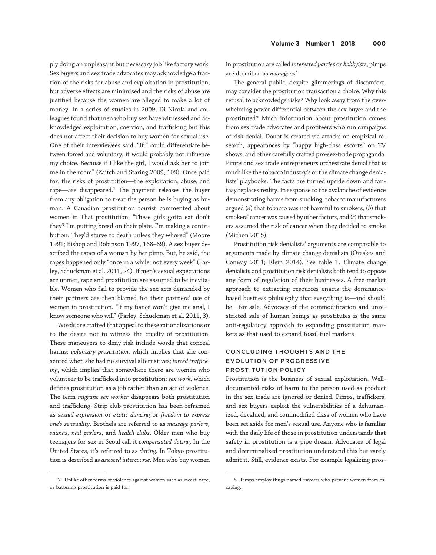ply doing an unpleasant but necessary job like factory work. Sex buyers and sex trade advocates may acknowledge a fraction of the risks for abuse and exploitation in prostitution, but adverse effects are minimized and the risks of abuse are justified because the women are alleged to make a lot of money. In a series of studies in 2009, Di Nicola and colleagues found that men who buy sex have witnessed and acknowledged exploitation, coercion, and trafficking but this does not affect their decision to buy women for sexual use. One of their interviewees said, "If I could differentiate between forced and voluntary, it would probably not influence my choice. Because if I like the girl, I would ask her to join me in the room" (Zaitch and Staring 2009, 109). Once paid for, the risks of prostitution—the exploitation, abuse, and rape—are disappeared.7 The payment releases the buyer from any obligation to treat the person he is buying as human. A Canadian prostitution tourist commented about women in Thai prostitution, "These girls gotta eat don't they? I'm putting bread on their plate. I'm making a contribution. They'd starve to death unless they whored" (Moore 1991; Bishop and Robinson 1997, 168–69). A sex buyer described the rapes of a woman by her pimp. But, he said, the rapes happened only "once in a while, not every week" (Farley, Schuckman et al. 2011, 24). If men's sexual expectations are unmet, rape and prostitution are assumed to be inevitable. Women who fail to provide the sex acts demanded by their partners are then blamed for their partners' use of women in prostitution. "If my fiancé won't give me anal, I know someone who will" (Farley, Schuckman et al. 2011, 3).

Words are crafted that appeal to these rationalizations or to the desire not to witness the cruelty of prostitution. These maneuvers to deny risk include words that conceal harms: voluntary prostitution, which implies that she consented when she had no survival alternatives; forced trafficking, which implies that somewhere there are women who volunteer to be trafficked into prostitution; sex work, which defines prostitution as a job rather than an act of violence. The term migrant sex worker disappears both prostitution and trafficking. Strip club prostitution has been reframed as sexual expression or exotic dancing or freedom to express one's sensuality. Brothels are referred to as massage parlors, saunas, nail parlors, and health clubs. Older men who buy teenagers for sex in Seoul call it compensated dating. In the United States, it's referred to as dating. In Tokyo prostitution is described as assisted intercourse. Men who buy women

7. Unlike other forms of violence against women such as incest, rape, or battering prostitution is paid for.

in prostitution are called interested parties or hobbyists, pimps are described as managers. 8

The general public, despite glimmerings of discomfort, may consider the prostitution transaction a choice. Why this refusal to acknowledge risks? Why look away from the overwhelming power differential between the sex buyer and the prostituted? Much information about prostitution comes from sex trade advocates and profiteers who run campaigns of risk denial. Doubt is created via attacks on empirical research, appearances by "happy high-class escorts" on TV shows, and other carefully crafted pro-sex-trade propaganda. Pimps and sex trade entrepreneurs orchestrate denial that is much like the tobacco industry's or the climate change denialists' playbooks. The facts are turned upside down and fantasy replaces reality. In response to the avalanche of evidence demonstrating harms from smoking, tobacco manufacturers argued  $(a)$  that tobacco was not harmful to smokers,  $(b)$  that smokers'cancer was caused by other factors, and (c) that smokers assumed the risk of cancer when they decided to smoke (Michon 2015).

Prostitution risk denialists' arguments are comparable to arguments made by climate change denialists (Oreskes and Conway 2011; Klein 2014). See table 1. Climate change denialists and prostitution risk denialists both tend to oppose any form of regulation of their businesses. A free-market approach to extracting resources enacts the dominancebased business philosophy that everything is—and should be—for sale. Advocacy of the commodification and unrestricted sale of human beings as prostitutes is the same anti-regulatory approach to expanding prostitution markets as that used to expand fossil fuel markets.

# CONCLUDING THOUGHTS AND THE EVOLUTION OF PROGRESSIVE PROSTITUTION POLICY

Prostitution is the business of sexual exploitation. Welldocumented risks of harm to the person used as product in the sex trade are ignored or denied. Pimps, traffickers, and sex buyers exploit the vulnerabilities of a dehumanized, devalued, and commodified class of women who have been set aside for men's sexual use. Anyone who is familiar with the daily life of those in prostitution understands that safety in prostitution is a pipe dream. Advocates of legal and decriminalized prostitution understand this but rarely admit it. Still, evidence exists. For example legalizing pros-

<sup>8.</sup> Pimps employ thugs named catchers who prevent women from escaping.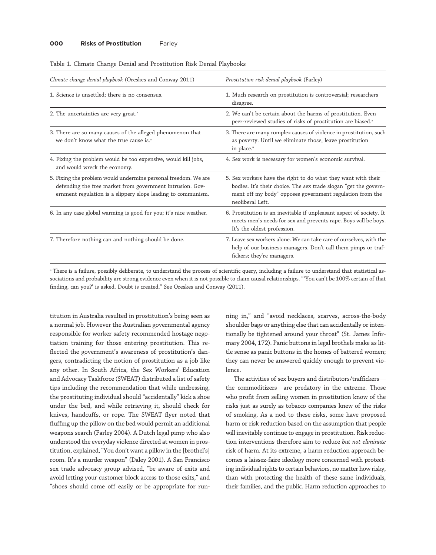#### **000 Risks of Prostitution Farley**

| Climate change denial playbook (Oreskes and Conway 2011)                                                                                                                                    | Prostitution risk denial playbook (Farley)                                                                                                                                                                        |
|---------------------------------------------------------------------------------------------------------------------------------------------------------------------------------------------|-------------------------------------------------------------------------------------------------------------------------------------------------------------------------------------------------------------------|
| 1. Science is unsettled; there is no consensus.                                                                                                                                             | 1. Much research on prostitution is controversial; researchers<br>disagree.                                                                                                                                       |
| 2. The uncertainties are very great. <sup>a</sup>                                                                                                                                           | 2. We can't be certain about the harms of prostitution. Even<br>peer-reviewed studies of risks of prostitution are biased. <sup>a</sup>                                                                           |
| 3. There are so many causes of the alleged phenomenon that<br>we don't know what the true cause is. <sup>a</sup>                                                                            | 3. There are many complex causes of violence in prostitution, such<br>as poverty. Until we eliminate those, leave prostitution<br>in place. <sup>a</sup>                                                          |
| 4. Fixing the problem would be too expensive, would kill jobs,<br>and would wreck the economy.                                                                                              | 4. Sex work is necessary for women's economic survival.                                                                                                                                                           |
| 5. Fixing the problem would undermine personal freedom. We are<br>defending the free market from government intrusion. Gov-<br>ernment regulation is a slippery slope leading to communism. | 5. Sex workers have the right to do what they want with their<br>bodies. It's their choice. The sex trade slogan "get the govern-<br>ment off my body" opposes government regulation from the<br>neoliberal Left. |
| 6. In any case global warming is good for you; it's nice weather.                                                                                                                           | 6. Prostitution is an inevitable if unpleasant aspect of society. It<br>meets men's needs for sex and prevents rape. Boys will be boys.<br>It's the oldest profession.                                            |
| 7. Therefore nothing can and nothing should be done.                                                                                                                                        | 7. Leave sex workers alone. We can take care of ourselves, with the<br>help of our business managers. Don't call them pimps or traf-<br>fickers; they're managers.                                                |

|  | Table 1. Climate Change Denial and Prostitution Risk Denial Playbooks |
|--|-----------------------------------------------------------------------|
|--|-----------------------------------------------------------------------|

a There is a failure, possibly deliberate, to understand the process of scientific query, including a failure to understand that statistical associations and probability are strong evidence even when it is not possible to claim causal relationships. " 'You can't be 100% certain of that finding, can you?' is asked. Doubt is created." See Oreskes and Conway (2011).

titution in Australia resulted in prostitution's being seen as a normal job. However the Australian governmental agency responsible for worker safety recommended hostage negotiation training for those entering prostitution. This reflected the government's awareness of prostitution's dangers, contradicting the notion of prostitution as a job like any other. In South Africa, the Sex Workers' Education and Advocacy Taskforce (SWEAT) distributed a list of safety tips including the recommendation that while undressing, the prostituting individual should "accidentally" kick a shoe under the bed, and while retrieving it, should check for knives, handcuffs, or rope. The SWEAT flyer noted that fluffing up the pillow on the bed would permit an additional weapons search (Farley 2004). A Dutch legal pimp who also understood the everyday violence directed at women in prostitution, explained,"You don't want a pillow in the [brothel's] room. It's a murder weapon" (Daley 2001). A San Francisco sex trade advocacy group advised, "be aware of exits and avoid letting your customer block access to those exits," and "shoes should come off easily or be appropriate for run-

ning in," and "avoid necklaces, scarves, across-the-body shoulder bags or anything else that can accidentally or intentionally be tightened around your throat" (St. James Infirmary 2004, 172). Panic buttons in legal brothels make as little sense as panic buttons in the homes of battered women; they can never be answered quickly enough to prevent violence.

The activities of sex buyers and distributors/traffickers the commoditizers—are predatory in the extreme. Those who profit from selling women in prostitution know of the risks just as surely as tobacco companies knew of the risks of smoking. As a nod to these risks, some have proposed harm or risk reduction based on the assumption that people will inevitably continue to engage in prostitution. Risk reduction interventions therefore aim to reduce but not eliminate risk of harm. At its extreme, a harm reduction approach becomes a laissez-faire ideology more concerned with protecting individual rights to certain behaviors, no matter how risky, than with protecting the health of these same individuals, their families, and the public. Harm reduction approaches to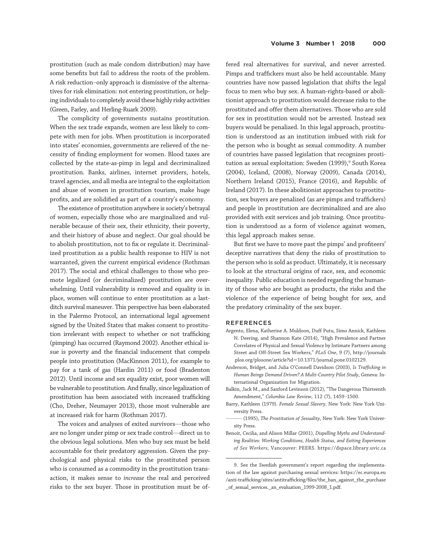prostitution (such as male condom distribution) may have some benefits but fail to address the roots of the problem. A risk reduction–only approach is dismissive of the alternatives for risk elimination: not entering prostitution, or helping individuals to completely avoid these highly risky activities (Green, Farley, and Herling-Ruark 2009).

The complicity of governments sustains prostitution. When the sex trade expands, women are less likely to compete with men for jobs. When prostitution is incorporated into states' economies, governments are relieved of the necessity of finding employment for women. Blood taxes are collected by the state-as-pimp in legal and decriminalized prostitution. Banks, airlines, internet providers, hotels, travel agencies, and all media are integral to the exploitation and abuse of women in prostitution tourism, make huge profits, and are solidified as part of a country's economy.

The existence of prostitution anywhere is society's betrayal of women, especially those who are marginalized and vulnerable because of their sex, their ethnicity, their poverty, and their history of abuse and neglect. Our goal should be to abolish prostitution, not to fix or regulate it. Decriminalized prostitution as a public health response to HIV is not warranted, given the current empirical evidence (Rothman 2017). The social and ethical challenges to those who promote legalized (or decriminalized) prostitution are overwhelming. Until vulnerability is removed and equality is in place, women will continue to enter prostitution as a lastditch survival maneuver. This perspective has been elaborated in the Palermo Protocol, an international legal agreement signed by the United States that makes consent to prostitution irrelevant with respect to whether or not trafficking (pimping) has occurred (Raymond 2002). Another ethical issue is poverty and the financial inducement that compels people into prostitution (MacKinnon 2011), for example to pay for a tank of gas (Hardin 2011) or food (Bradenton 2012). Until income and sex equality exist, poor women will be vulnerable to prostitution. And finally, since legalization of prostitution has been associated with increased trafficking (Cho, Dreher, Neumayer 2013), those most vulnerable are at increased risk for harm (Rothman 2017).

The voices and analyses of exited survivors—those who are no longer under pimp or sex trade control—direct us to the obvious legal solutions. Men who buy sex must be held accountable for their predatory aggression. Given the psychological and physical risks to the prostituted person who is consumed as a commodity in the prostitution transaction, it makes sense to increase the real and perceived risks to the sex buyer. Those in prostitution must be of-

fered real alternatives for survival, and never arrested. Pimps and traffickers must also be held accountable. Many countries have now passed legislation that shifts the legal focus to men who buy sex. A human-rights-based or abolitionist approach to prostitution would decrease risks to the prostituted and offer them alternatives. Those who are sold for sex in prostitution would not be arrested. Instead sex buyers would be penalized. In this legal approach, prostitution is understood as an institution imbued with risk for the person who is bought as sexual commodity. A number of countries have passed legislation that recognizes prostitution as sexual exploitation: Sweden (1999),<sup>9</sup> South Korea (2004), Iceland, (2008), Norway (2009), Canada (2014), Northern Ireland (2015), France (2016), and Republic of Ireland (2017). In these abolitionist approaches to prostitution, sex buyers are penalized (as are pimps and traffickers) and people in prostitution are decriminalized and are also provided with exit services and job training. Once prostitution is understood as a form of violence against women, this legal approach makes sense.

But first we have to move past the pimps' and profiteers' deceptive narratives that deny the risks of prostitution to the person who is sold as product. Ultimately, it is necessary to look at the structural origins of race, sex, and economic inequality. Public education is needed regarding the humanity of those who are bought as products, the risks and the violence of the experience of being bought for sex, and the predatory criminality of the sex buyer.

#### REFERENCES

- Argento, Elena, Katherine A. Muldoon, Duff Putu, Simo Annick, Kathleen N. Deering, and Shannon Kate (2014), "High Prevalence and Partner Correlates of Physical and Sexual Violence by Intimate Partners among Street and Off-Street Sex Workers," PLoS One, 9 (7), http://journals .plos.org/plosone/article?id510.1371/journal.pone.0102129.
- Anderson, Bridget, and Julia O'Connell Davidson (2003), Is Trafficking in Human Beings Demand Driven? A Multi-Country Pilot Study, Geneva: International Organization for Migration.
- Balkin, Jack M., and Sanford Levinson (2012), "The Dangerous Thirteenth Amendment," Columbia Law Review, 112 (7), 1459–1500.
- Barry, Kathleen (1979). Female Sexual Slavery. New York: New York University Press.
- (1995), The Prostitution of Sexuality, New York: New York University Press.
- Benoit, Cecilia, and Alison Millar (2001), Dispelling Myths and Understanding Realities: Working Conditions, Health Status, and Exiting Experiences of Sex Workers, Vancouver: PEERS. https://dspace.library.uvic.ca

<sup>9.</sup> See the Swedish government's report regarding the implementation of the law against purchasing sexual services: https://ec.europa.eu /anti-trafficking/sites/antitrafficking/files/the\_ban\_against\_the\_purchase  $\_$ of $\_$ sexual $\_$ services. $\_$ an $\_$ evaluation $\_$ 1999-2008 $\_$ 1.pdf.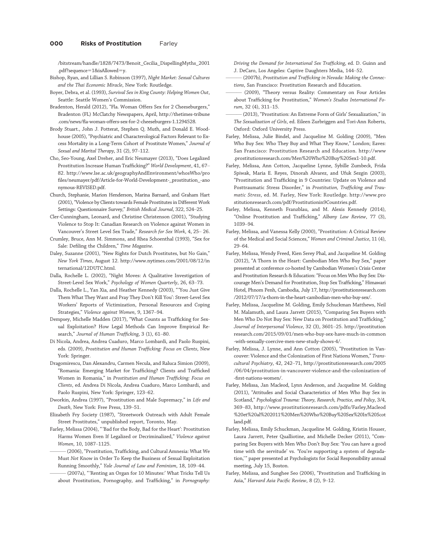/bitstream/handle/1828/7473/Benoit\_Cecilia\_DispellingMyths\_2001 .pdf?sequence=1&isAllowed=y.

- Bishop, Ryan, and Lillian S. Robinson (1997), Night Market: Sexual Cultures and the Thai Economic Miracle, New York: Routledge.
- Boyer, Debra, et al. (1993), Survival Sex in King County: Helping Women Out, Seattle: Seattle Women's Commission.
- Bradenton, Herald (2012), "Fla. Woman Offers Sex for 2 Cheeseburgers," Bradenton (FL) McClatchy Newspapers, April, http://thetimes-tribune .com/news/fla-woman-offers-sex-for-2-cheeseburgers-1.1294528.
- Brody Stuart., John J. Potterat, Stephen Q. Muth, and Donald E. Woodhouse (2005), "Psychiatric and Characterological Factors Relevant to Excess Mortality in a Long-Term Cohort of Prostitute Women," Journal of Sexual and Marital Therapy, 31 (2), 97-112.
- Cho, Seo-Young, Axel Dreher, and Eric Neumayer (2013), "Does Legalized Prostitution Increase Human Trafficking?" World Development, 41, 67– 82. http://www.lse.ac.uk/geographyAndEnvironment/whosWho/pro files/neumayer/pdf/Article-for-World-Development-\_prostitution\_-ano nymous-REVISED.pdf.
- Church, Stephanie, Marion Henderson, Marina Barnard, and Graham Hart (2001),"Violence by Clients towards Female Prostitutes in Different Work Settings: Questionnaire Survey," British Medical Journal, 322, 524–25.
- Cler-Cunningham, Leonard, and Christine Christenson (2001), "Studying Violence to Stop It: Canadian Research on Violence against Women in Vancouver's Street Level Sex Trade," Research for Sex Work, 4, 25– 26.
- Crumley, Bruce, Ann M. Simmons, and Rhea Schoenthal (1993), "Sex for Sale: Defiling the Children," Time Magazine.
- Daley, Suzanne (2001), "New Rights for Dutch Prostitutes, but No Gain," New York Times, August 12. http://www.nytimes.com/2001/08/12/in ternational/12DUTC.html.
- Dalla, Rochelle L. (2002), "Night Moves: A Qualitative Investigation of Street-Level Sex Work," Psychology of Women Quarterly, 26, 63–73.
- Dalla, Rochelle L., Yan Xia, and Heather Kennedy (2003), " 'You Just Give Them What They Want and Pray They Don't Kill You': Street-Level Sex Workers' Reports of Victimization, Personal Resources and Coping Strategies," Violence against Women, 9, 1367–94.
- Dempsey, Michelle Madden (2017), "What Counts as Trafficking for Sexual Exploitation? How Legal Methods Can Improve Empirical Research," Journal of Human Trafficking, 3 (1), 61-80.
- Di Nicola, Andrea, Andrea Cuaduro, Marco Lombardi, and Paolo Ruspini, eds. (2009), Prostitution and Human Trafficking: Focus on Clients, New York: Springer.
- Dragomirescu, Dan Alexandru, Carmen Necula, and Raluca Simion (2009), "Romania: Emerging Market for Trafficking? Clients and Trafficked Women in Romania," in Prostitution and Human Trafficking: Focus on Clients, ed. Andrea Di Nicola, Andrea Cuaduro, Marco Lombardi, and Paolo Ruspini, New York: Springer, 123–62.
- Dworkin, Andrea (1997), "Prostitution and Male Supremacy," in Life and Death, New York: Free Press, 139–51.
- Elizabeth Fry Society (1987), "Streetwork Outreach with Adult Female Street Prostitutes," unpublished report, Toronto, May.
- Farley, Melissa (2004), " 'Bad for the Body, Bad for the Heart': Prostitution Harms Women Even If Legalized or Decriminalized," Violence against Women, 10, 1087–1125.
	- (2006), "Prostitution, Trafficking, and Cultural Amnesia: What We Must Not Know in Order To Keep the Business of Sexual Exploitation Running Smoothly," Yale Journal of Law and Feminism, 18, 109–44.
	- (2007a), "'Renting an Organ for 10 Minutes:' What Tricks Tell Us about Prostitution, Pornography, and Trafficking," in Pornography:

Driving the Demand for International Sex Trafficking, ed. D. Guinn and J. DeCaro, Los Angeles: Captive Daughters Media, 144–52.

- (2007b), Prostitution and Trafficking in Nevada: Making the Connections, San Francisco: Prostitution Research and Education.
- (2009), "Theory versus Reality: Commentary on Four Articles about Trafficking for Prostitution," Women's Studies International Forum, 32 (4), 311–15.
- (2013), "Prostitution: An Extreme Form of Girls' Sexualization," in The Sexualization of Girls, ed. Eileen Zurbriggen and Tori-Ann Roberts, Oxford: Oxford University Press.
- Farley, Melissa, Julie Bindel, and Jacqueline M. Golding (2009), "Men Who Buy Sex: Who They Buy and What They Know," London; Eaves: San Francisco: Prostitution Research and Education. http://www .prostitutionresearch.com/Men%20Who%20Buy%20Sex1-10.pdf.
- Farley, Melissa, Ann Cotton, Jacqueline Lynne, Sybille Zumbeck, Frida Spiwak, Maria E. Reyes, Dinorah Alvarez, and Ufuk Sezgin (2003), "Prostitution and Trafficking in 9 Countries: Update on Violence and Posttraumatic Stress Disorder," in Prostitution, Trafficking and Traumatic Stress, ed. M. Farley, New York: Routledge. http://www.pro stitutionresearch.com/pdf/Prostitutionin9Countries.pdf.
- Farley, Melissa, Kenneth Franzblau, and M. Alexis Kennedy (2014), "Online Prostitution and Trafficking," Albany Law Review, 77 (3), 1039–94.
- Farley, Melissa, and Vanessa Kelly (2000), "Prostitution: A Critical Review of the Medical and Social Sciences," Women and Criminal Justice, 11 (4), 29–64.
- Farley, Melissa, Wendy Freed, Kien Serey Phal, and Jacqueline M. Golding (2012), "A Thorn in the Heart: Cambodian Men Who Buy Sex," paper presented at conference co-hosted by Cambodian Women's Crisis Center and Prostitution Research & Education:"Focus on Men Who Buy Sex: Discourage Men's Demand for Prostitution, Stop Sex Trafficking," Himawari Hotel, Phnom Penh, Cambodia, July 17, http://prostitutionresearch.com /2012/07/17/a-thorn-in-the-heart-cambodian-men-who-buy-sex/.
- Farley, Melissa, Jacqueline M. Golding, Emily Schuckman Matthews, Neil M. Malamuth, and Laura Jarrett (2015), "Comparing Sex Buyers with Men Who Do Not Buy Sex: New Data on Prostitution and Trafficking," Journal of Interpersonal Violence, 32 (3), 3601–25. http://prostitution research.com/2015/09/01/men-who-buy-sex-have-much-in-common -with-sexually-coercive-men-new-study-shows-4/.
- Farley, Melissa, J. Lynne, and Ann Cotton (2005), "Prostitution in Vancouver: Violence and the Colonization of First Nations Women," Transcultural Psychiatry, 42, 242–71, http://prostitutionresearch.com/2005 /06/04/prostitution-in-vancouver-violence-and-the-colonization-of -first-nations-women/.
- Farley, Melissa, Jan Macleod, Lynn Anderson, and Jacqueline M. Golding (2011), "Attitudes and Social Characteristics of Men Who Buy Sex in Scotland," Psychological Trauma: Theory, Research, Practice, and Policy, 3/4, 369–83, http://www.prostitutionresearch.com/pdfs/Farley,Macleod %20et%20al%202011%20Men%20Who%20Buy%20Sex%20In%20Scot land.pdf.
- Farley, Melissa, Emily Schuckman, Jacqueline M. Golding, Kristin Houser, Laura Jarrett, Peter Qualliotine, and Michelle Decker (2011), "Comparing Sex Buyers with Men Who Don't Buy Sex: 'You can have a good time with the servitude' vs. 'You're supporting a system of degradation,'" paper presented at Psychologists for Social Responsibility annual meeting, July 15, Boston.
- Farley, Melissa, and Sunghee Seo (2006), "Prostitution and Trafficking in Asia," Harvard Asia Pacific Review, 8 (2), 9–12.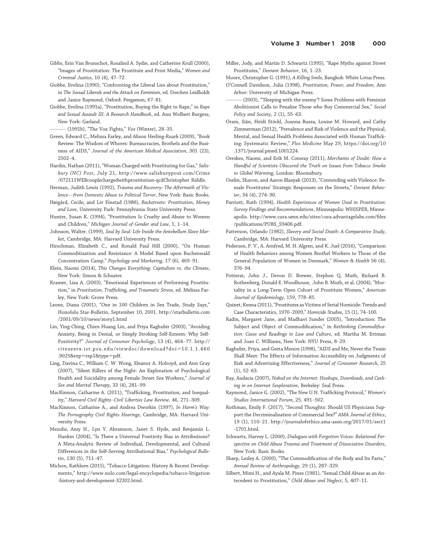- Gibbs, Erin Van Brunschot, Rosalind A. Sydie, and Catherine Krull (2000), "Images of Prostitution: The Prostitute and Print Media," Women and Criminal Justice, 10 (4), 47–72.
- Giobbe, Evelina (1990), "Confronting the Liberal Lies about Prostitution," in The Sexual Liberals and the Attack on Feminism, ed. Dorchen Leidholdt and Janice Raymond, Oxford: Pergamon, 67–81.
- Giobbe, Evelina (1991a), "Prostitution, Buying the Right to Rape," in Rape and Sexual Assault III: A Research Handbook, ed. Ann Wolbert Burgess, New York: Garland.
- (1991b), "The Vox Fights," Vox (Winter), 28-35.
- Green, Edward C., Melissa Farley, and Alison Herling-Ruark (2009), "Book Review: The Wisdom of Whores: Bureaucracies, Brothels and the Business of AIDS," Journal of the American Medical Association, 301 (23), 2502–4.
- Hardin, Nathan (2011), "Woman Charged with Prostituting for Gas," Salisbury (NC) Post, July 21, http://www.salisburypost.com/Crime /072111WEBcouplechargedwithprostitution-qcdChristopher Riddle.
- Herman, Judith Lewis (1992), Trauma and Recovery: The Aftermath of Violence—from Domestic Abuse to Political Terror, New York: Basic Books.
- Høigård, Cecile, and Liv Finstad (1986), Backstreets: Prostitution, Money and Love, University Park: Pennsylvania State University Press.
- Hunter, Susan K. (1994), "Prostitution Is Cruelty and Abuse to Women and Children," Michigan Journal of Gender and Law, 1, 1–14.
- Johnson, Walter. (1999), Soul by Soul: Life Inside the Antebellum Slave Market, Cambridge, MA: Harvard University Press.
- Hirschman, Elizabeth C., and Ronald Paul Hill (2000), "On Human Commoditization and Resistance: A Model Based upon Buchenwald Concentration Camp," Psychology and Marketing, 17 (6), 469–91.
- Klein, Naomi (2014), This Changes Everything: Capitalism vs. the Climate, New York: Simon & Schuster.
- Kramer, Lisa A. (2003), "Emotional Experiences of Performing Prostitution," in Prostitution, Trafficking, and Traumatic Stress, ed. Melissa Farley, New York: Grove Press.
- Leone, Diana (2001), "One in 100 Children in Sex Trade, Study Says," Honolulu Star-Bulletin, September 10, 2001. http://starbulletin.com /2001/09/10/news/story1.html
- Lin, Ying-Ching, Chien Huang Lin, and Priya Raghubir (2003), "Avoiding Anxiety, Being in Denial, or Simply Stroking Self-Esteem: Why Self-Positivity?" Journal of Consumer Psychology, 13 (4), 464–77. http:// citeseerx.ist.psu.edu/viewdoc/download?doi=10.1.1.460 .9025&rep=rep1&type=pdf.
- Ling, Davina C., William C. W. Wong, Eleanor A. Holroyd, and Ann Gray (2007), "Silent Killers of the Night: An Exploration of Psychological Health and Suicidality among Female Street Sex Workers," Journal of Sex and Marital Therapy, 33 (4), 281–99.
- MacKinnon, Catharine A. (2011), "Trafficking, Prostitution, and Inequality," Harvard Civil Rights–Civil Liberties Law Review, 46, 271–309.
- MacKinnon, Catharine A., and Andrea Dworkin (1997), In Harm's Way: The Pornography Civil Rights Hearings, Cambridge, MA: Harvard University Press.
- Mezulis, Amy H., Lyn Y. Abramson, Janet S. Hyde, and Benjamin L. Hankin (2004), "Is There a Universal Positivity Bias in Attributions? A Meta-Analytic Review of Individual, Developmental, and Cultural Differences in the Self-Serving Attributional Bias," Psychological Bulletin, 130 (5), 711–47.
- Michon, Kathleen (2015), "Tobacco Litigation: History & Recent Developments," http://www.nolo.com/legal-encyclopedia/tobacco-litigation -history-and-development-32202.html.

Miller, Jody, and Martin D. Schwartz (1995), "Rape Myths against Street Prostitutes," Deviant Behavior, 16, 1–23.

Moore, Christopher G. (1991), A Killing Smile, Bangkok: White Lotus Press.

- O'Connell Davidson, Julia (1998), Prostitution, Power, and Freedom, Ann Arbor: University of Michigan Press.
- (2003), "'Sleeping with the enemy'? Some Problems with Feminist Abolitionist Calls to Penalise Those who Buy Commercial Sex," Social Policy and Society, 2 (1), 55–63.
- Oram, Siân, Heidi Stöckl, Joanna Busza, Louise M. Howard, and Cathy Zimmerman (2012), "Prevalence and Risk of Violence and the Physical, Mental, and Sexual Health Problems Associated with Human Trafficking: Systematic Review," Plos Medicine May 29, https://doi.org/10 .1371/journal.pmed.1001224.
- Oreskes, Naomi, and Erik M. Conway (2011), Merchants of Doubt: How a Handful of Scientists Obscured the Truth on Issues from Tobacco Smoke to Global Warming, London: Bloomsbury.
- Oselin, Sharon, and Aaron Blasyak (2013), "Contending with Violence: Female Prostitutes' Strategic Responses on the Streets," Deviant Behavior, 34 (4), 274–90.
- Parriott, Ruth (1994), Health Experiences of Women Used in Prostitution: Survey Findings and Recommendations, Minneapolis: WHISPER, Minneapolis. http://www.cura.umn.edu/sites/cura.advantagelabs.com/files /publications/PUBS\_S9406.pdf.
- Patterson, Orlando (1982), Slavery and Social Death: A Comparative Study, Cambridge, MA: Harvard University Press.
- Pedersen, P. V., A. Arnfred, M. H. Algren, and K. Juel (2016), "Comparison of Health Behaviors among Women Brothel Workers to Those of the General Population of Women in Denmark," Women & Health 56 (4), 376–94.
- Potterat, John J., Devon D. Brewer, Stephen Q. Muth, Richard B. Rothenberg, Donald E. Woodhouse, John B. Muth, et al. (2004), "Mortality in a Long-Term Open Cohort of Prostitute Women," American Journal of Epidemiology, 159, 778–85.
- Quinet, Kenna (2011), "Prostitutes as Victims of Serial Homicide: Trends and Case Characteristics, 1970–2009," Homicide Studies, 15 (1), 74–100.
- Radin, Margaret Jane, and Madhavi Sunder (2005), "Introduction: The Subject and Object of Commodification," in Rethinking Commodification: Cases and Readings in Law and Culture, ed. Martha M. Ertman and Joan C. Williams, New York: NYU Press, 8–29.
- Raghubir, Priya, and Geeta Menon (1998), "AIDS and Me, Never the Twain Shall Meet: The Effects of Information Accessibility on Judgments of Risk and Advertising Effectiveness," Journal of Consumer Research, 25 (1), 52–63.
- Ray, Audacia (2007), Naked on the Internet: Hookups, Downloads, and Cashing in on Internet Sexploration, Berkeley: Seal Press.
- Raymond, Janice G. (2002), "The New U.N. Trafficking Protocol," Women's Studies International Forum, 25, 491–502.
- Rothman, Emily F. (2017), "Second Thoughts: Should US Physicians Support the Decriminalization of Commercial Sex?" AMA Journal of Ethics, 19 (1), 110–21. http://journalofethics.ama-assn.org/2017/01/sect1 -1701.html.
- Schwartz, Harvey L. (2000), Dialogues with Forgotten Voices: Relational Perspective on Child Abuse Trauma and Treatment of Dissociative Disorders, New York: Basic Books.
- Sharp, Lesley A. (2000), "The Commodification of the Body and Its Parts," Annual Review of Anthropology, 29 (1), 287–329.
- Silbert, Mimi H., and Ayala M. Pines (1981), "Sexual Child Abuse as an Antecedent to Prostitution," Child Abuse and Neglect, 5, 407–11.